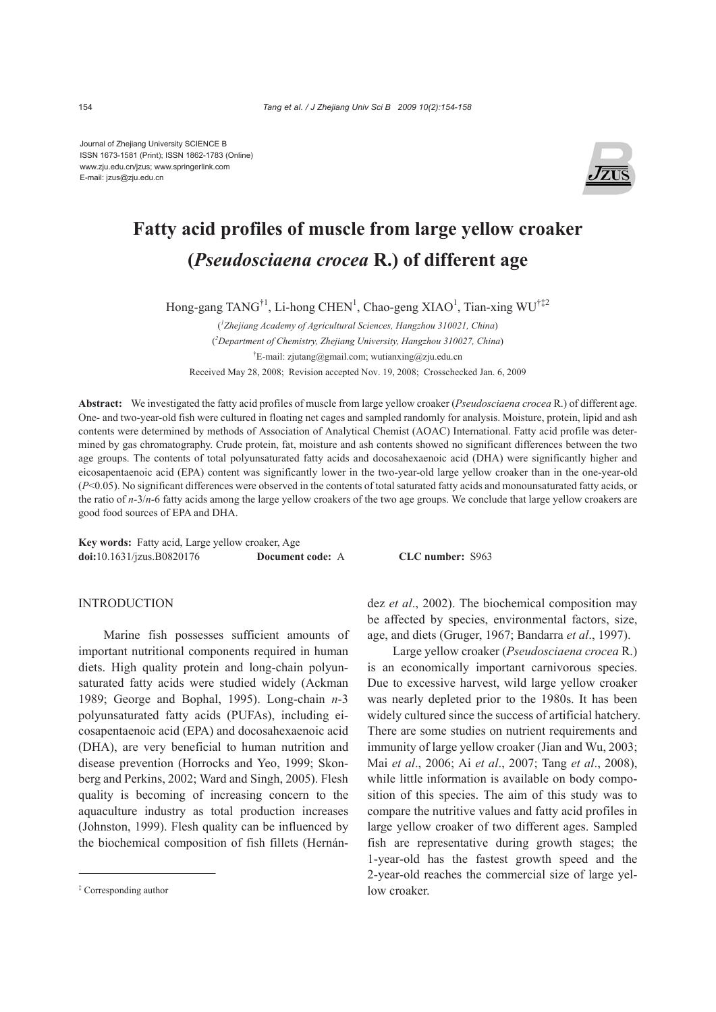Journal of Zhejiang University SCIENCE B ISSN 1673-1581 (Print); ISSN 1862-1783 (Online) www.zju.edu.cn/jzus; www.springerlink.com E-mail: jzus@zju.edu.cn



# **Fatty acid profiles of muscle from large yellow croaker (***Pseudosciaena crocea* **R.) of different age**

Hong-gang TANG<sup>†1</sup>, Li-hong CHEN<sup>1</sup>, Chao-geng XIAO<sup>1</sup>, Tian-xing WU<sup>†‡2</sup>

( *1 Zhejiang Academy of Agricultural Sciences, Hangzhou 310021, China*) ( *2 Department of Chemistry, Zhejiang University, Hangzhou 310027, China*) † E-mail: zjutang@gmail.com; wutianxing@zju.edu.cn Received May 28, 2008; Revision accepted Nov. 19, 2008; Crosschecked Jan. 6, 2009

**Abstract:** We investigated the fatty acid profiles of muscle from large yellow croaker (*Pseudosciaena crocea* R.) of different age. One- and two-year-old fish were cultured in floating net cages and sampled randomly for analysis. Moisture, protein, lipid and ash contents were determined by methods of Association of Analytical Chemist (AOAC) International. Fatty acid profile was determined by gas chromatography. Crude protein, fat, moisture and ash contents showed no significant differences between the two age groups. The contents of total polyunsaturated fatty acids and docosahexaenoic acid (DHA) were significantly higher and eicosapentaenoic acid (EPA) content was significantly lower in the two-year-old large yellow croaker than in the one-year-old (*P*<0.05). No significant differences were observed in the contents of total saturated fatty acids and monounsaturated fatty acids, or the ratio of *n*-3/*n*-6 fatty acids among the large yellow croakers of the two age groups. We conclude that large yellow croakers are good food sources of EPA and DHA.

**Key words:** Fatty acid, Large yellow croaker, Age **doi:**10.1631/jzus.B0820176 **Document code:** A **CLC number:** S963

# INTRODUCTION

Marine fish possesses sufficient amounts of important nutritional components required in human diets. High quality protein and long-chain polyunsaturated fatty acids were studied widely (Ackman 1989; George and Bophal, 1995). Long-chain *n*-3 polyunsaturated fatty acids (PUFAs), including eicosapentaenoic acid (EPA) and docosahexaenoic acid (DHA), are very beneficial to human nutrition and disease prevention (Horrocks and Yeo, 1999; Skonberg and Perkins, 2002; Ward and Singh, 2005). Flesh quality is becoming of increasing concern to the aquaculture industry as total production increases (Johnston, 1999). Flesh quality can be influenced by the biochemical composition of fish fillets (Hernández *et al*., 2002). The biochemical composition may be affected by species, environmental factors, size, age, and diets (Gruger, 1967; Bandarra *et al*., 1997).

Large yellow croaker (*Pseudosciaena crocea* R.) is an economically important carnivorous species. Due to excessive harvest, wild large yellow croaker was nearly depleted prior to the 1980s. It has been widely cultured since the success of artificial hatchery. There are some studies on nutrient requirements and immunity of large yellow croaker (Jian and Wu, 2003; Mai *et al*., 2006; Ai *et al*., 2007; Tang *et al*., 2008), while little information is available on body composition of this species. The aim of this study was to compare the nutritive values and fatty acid profiles in large yellow croaker of two different ages. Sampled fish are representative during growth stages; the 1-year-old has the fastest growth speed and the 2-year-old reaches the commercial size of large yellow croaker.

<sup>‡</sup> Corresponding author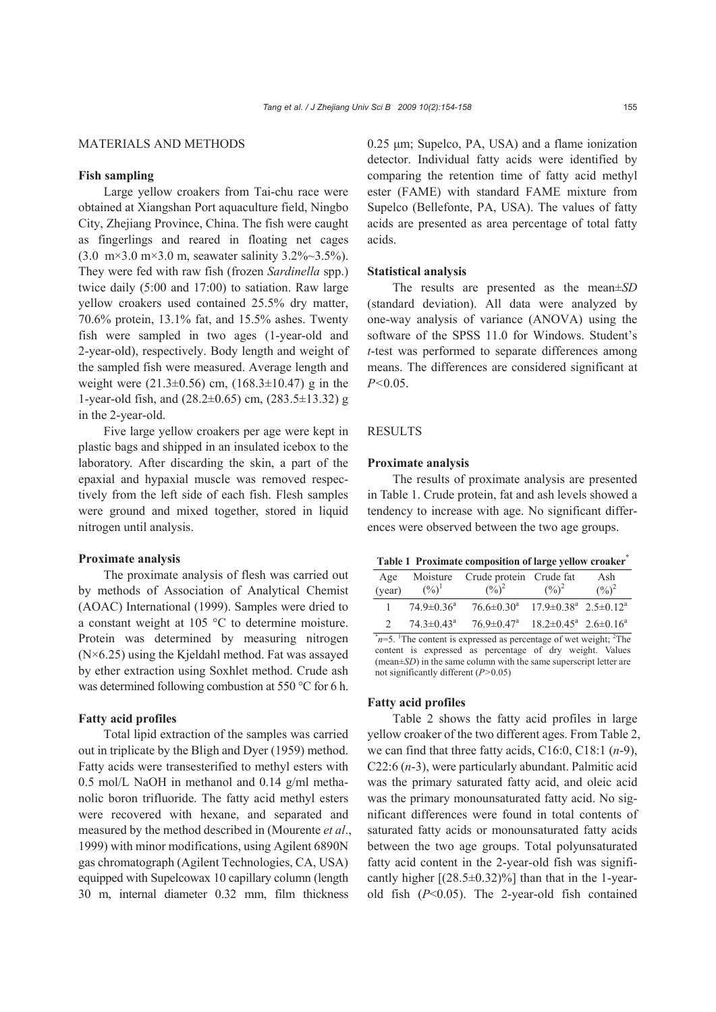## MATERIALS AND METHODS

# **Fish sampling**

Large yellow croakers from Tai-chu race were obtained at Xiangshan Port aquaculture field, Ningbo City, Zhejiang Province, China. The fish were caught as fingerlings and reared in floating net cages (3.0 m×3.0 m×3.0 m, seawater salinity 3.2%~3.5%). They were fed with raw fish (frozen *Sardinella* spp.) twice daily (5:00 and 17:00) to satiation. Raw large yellow croakers used contained 25.5% dry matter, 70.6% protein, 13.1% fat, and 15.5% ashes. Twenty fish were sampled in two ages (1-year-old and 2-year-old), respectively. Body length and weight of the sampled fish were measured. Average length and weight were  $(21.3\pm0.56)$  cm,  $(168.3\pm10.47)$  g in the 1-year-old fish, and (28.2±0.65) cm, (283.5±13.32) g in the 2-year-old.

Five large yellow croakers per age were kept in plastic bags and shipped in an insulated icebox to the laboratory. After discarding the skin, a part of the epaxial and hypaxial muscle was removed respectively from the left side of each fish. Flesh samples were ground and mixed together, stored in liquid nitrogen until analysis.

#### **Proximate analysis**

The proximate analysis of flesh was carried out by methods of Association of Analytical Chemist (AOAC) International (1999). Samples were dried to a constant weight at 105 °C to determine moisture. Protein was determined by measuring nitrogen  $(N\times 6.25)$  using the Kjeldahl method. Fat was assayed by ether extraction using Soxhlet method. Crude ash was determined following combustion at 550 °C for 6 h.

## **Fatty acid profiles**

Total lipid extraction of the samples was carried out in triplicate by the Bligh and Dyer (1959) method. Fatty acids were transesterified to methyl esters with 0.5 mol/L NaOH in methanol and 0.14 g/ml methanolic boron trifluoride. The fatty acid methyl esters were recovered with hexane, and separated and measured by the method described in (Mourente *et al*., 1999) with minor modifications, using Agilent 6890N gas chromatograph (Agilent Technologies, CA, USA) equipped with Supelcowax 10 capillary column (length 30 m, internal diameter 0.32 mm, film thickness

0.25 μm; Supelco, PA, USA) and a flame ionization detector. Individual fatty acids were identified by comparing the retention time of fatty acid methyl ester (FAME) with standard FAME mixture from Supelco (Bellefonte, PA, USA). The values of fatty acids are presented as area percentage of total fatty acids.

## **Statistical analysis**

The results are presented as the mean±*SD* (standard deviation). All data were analyzed by one-way analysis of variance (ANOVA) using the software of the SPSS 11.0 for Windows. Student's *t*-test was performed to separate differences among means. The differences are considered significant at *P<*0.05.

## **RESULTS**

### **Proximate analysis**

The results of proximate analysis are presented in Table 1. Crude protein, fat and ash levels showed a tendency to increase with age. No significant differences were observed between the two age groups.

**Table 1 Proximate composition of large yellow croaker\***

| Age<br>(year)  | Moisture<br>$(\%)^1$         | Crude protein Crude fat<br>$(\frac{9}{6})^2$                           | $(\frac{9}{0})^2$                                                                                    | Ash<br>$(\frac{0}{0})^2$ |
|----------------|------------------------------|------------------------------------------------------------------------|------------------------------------------------------------------------------------------------------|--------------------------|
| $\overline{1}$ | $74.9 \pm 0.36$ <sup>a</sup> | $76.6 \pm 0.30^a$ $17.9 \pm 0.38^a$ $2.5 \pm 0.12^a$                   |                                                                                                      |                          |
|                | 74 3 $\pm$ 0 43 <sup>a</sup> | $76.9 \pm 0.47^{\circ}$ $18.2 \pm 0.45^{\circ}$ $2.6 \pm 0.16^{\circ}$ |                                                                                                      |                          |
|                |                              |                                                                        | - 2008년 - 2019년 - 2019년 - 2019년 - 2019년 - 2019년 - 2019년 - 2019년 - 2019년 - 2019년 - 2019년 - 2019년 - 20 |                          |

 $n=5$ . The content is expressed as percentage of wet weight; <sup>2</sup>The content is expressed as percentage of dry weight. Values (mean±*SD*) in the same column with the same superscript letter are not significantly different (*P>*0.05)

# **Fatty acid profiles**

Table 2 shows the fatty acid profiles in large yellow croaker of the two different ages. From Table 2, we can find that three fatty acids, C16:0, C18:1 (*n*-9), C22:6 (*n*-3), were particularly abundant. Palmitic acid was the primary saturated fatty acid, and oleic acid was the primary monounsaturated fatty acid. No significant differences were found in total contents of saturated fatty acids or monounsaturated fatty acids between the two age groups. Total polyunsaturated fatty acid content in the 2-year-old fish was significantly higher  $[(28.5\pm0.32)\%]$  than that in the 1-yearold fish (*P*<0.05). The 2-year-old fish contained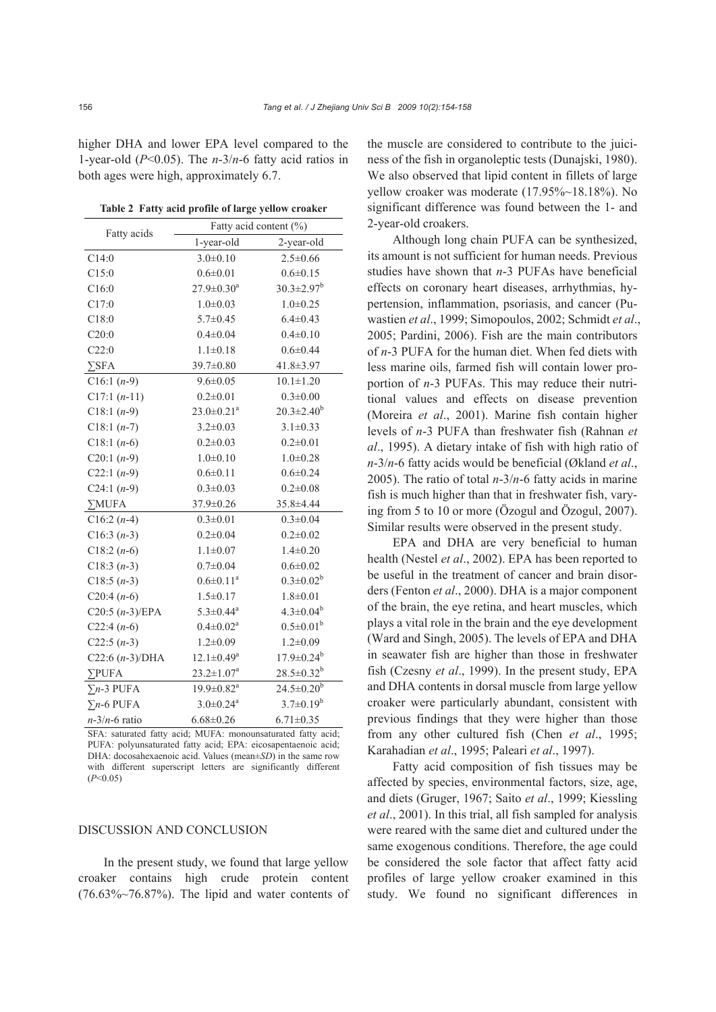higher DHA and lower EPA level compared to the 1-year-old (*P*<0.05). The *n*-3/*n*-6 fatty acid ratios in both ages were high, approximately 6.7.

**Table 2 Fatty acid profile of large yellow croaker** 

| Fatty acids               | Fatty acid content (%)       |                   |  |
|---------------------------|------------------------------|-------------------|--|
|                           | 1-year-old                   | 2-year-old        |  |
| C14:0                     | $3.0 \pm 0.10$               | $2.5 \pm 0.66$    |  |
| C15:0                     | $0.6 \pm 0.01$               | $0.6 \pm 0.15$    |  |
| C16:0                     | $27.9 \pm 0.30^a$            | $30.3 \pm 2.97^b$ |  |
| C17:0                     | $1.0 \pm 0.03$               | $1.0 + 0.25$      |  |
| C18:0                     | $5.7 \pm 0.45$               | $6.4 \pm 0.43$    |  |
| C20:0                     | $0.4 \pm 0.04$               | $0.4 \pm 0.10$    |  |
| C22:0                     | $1.1 \pm 0.18$               | $0.6 \pm 0.44$    |  |
| $\Sigma$ SFA              | $39.7 \pm 0.80$              | 41.8±3.97         |  |
| $C16:1 (n-9)$             | $9.6 \pm 0.05$               | $10.1 \pm 1.20$   |  |
| $C17:1(n-11)$             | $0.2 \pm 0.01$               | $0.3 \pm 0.00$    |  |
| $C18:1 (n-9)$             | $23.0 \pm 0.21$ <sup>a</sup> | $20.3 \pm 2.40^b$ |  |
| $C18:1 (n-7)$             | $3.2 \pm 0.03$               | $3.1 \pm 0.33$    |  |
| $C18:1(n-6)$              | $0.2 \pm 0.03$               | $0.2 \pm 0.01$    |  |
| C20:1 $(n-9)$             | $1.0 + 0.10$                 | $1.0 \pm 0.28$    |  |
| C22:1 $(n-9)$             | $0.6 \pm 0.11$               | $0.6 \pm 0.24$    |  |
| C24:1 $(n-9)$             | $0.3 \pm 0.03$               | $0.2 \pm 0.08$    |  |
| $\Sigma MUFA$             | $37.9 \pm 0.26$              | 35.8±4.44         |  |
| $C16:2(n-4)$              | $0.3 \pm 0.01$               | $0.3 \pm 0.04$    |  |
| $C16:3(n-3)$              | $0.2 \pm 0.04$               | $0.2 \pm 0.02$    |  |
| $C18:2(n-6)$              | $1.1 \pm 0.07$               | $1.4 \pm 0.20$    |  |
| $C18:3(n-3)$              | $0.7 \pm 0.04$               | $0.6 \pm 0.02$    |  |
| $C18:5(n-3)$              | $0.6 \pm 0.11^a$             | $0.3 \pm 0.02^b$  |  |
| $C20:4(n-6)$              | $1.5 \pm 0.17$               | $1.8 \pm 0.01$    |  |
| $C20:5 (n-3)/EPA$         | $5.3 \pm 0.44$ <sup>a</sup>  | $4.3 \pm 0.04^b$  |  |
| $C22:4(n-6)$              | $0.4 \pm 0.02^a$             | $0.5 \pm 0.01^b$  |  |
| C22:5 $(n-3)$             | $1.2 \pm 0.09$               | $1.2 \pm 0.09$    |  |
| $C22:6 (n-3)/DHA$         | $12.1 \pm 0.49^a$            | $17.9 \pm 0.24^b$ |  |
| $\Sigma$ PUFA             | $23.2 \pm 1.07^a$            | $28.5 \pm 0.32^b$ |  |
| $\Sigma$ n-3 PUFA         | $19.9 \pm 0.82$ <sup>a</sup> | $24.5 \pm 0.20^b$ |  |
| $\Sigma$ <i>n</i> -6 PUFA | $3.0 \pm 0.24$ <sup>a</sup>  | $3.7 \pm 0.19^b$  |  |
| $n-3/n-6$ ratio           | $6.68 \pm 0.26$              | $6.71 \pm 0.35$   |  |

SFA: saturated fatty acid; MUFA: monounsaturated fatty acid; PUFA: polyunsaturated fatty acid; EPA: eicosapentaenoic acid; DHA: docosahexaenoic acid. Values (mean±*SD*) in the same row with different superscript letters are significantly different (*P*<0.05)

#### DISCUSSION AND CONCLUSION

In the present study, we found that large yellow croaker contains high crude protein content  $(76.63\% \sim 76.87\%)$ . The lipid and water contents of the muscle are considered to contribute to the juiciness of the fish in organoleptic tests (Dunajski, 1980). We also observed that lipid content in fillets of large yellow croaker was moderate (17.95%~18.18%). No significant difference was found between the 1- and 2-year-old croakers.

Although long chain PUFA can be synthesized, its amount is not sufficient for human needs. Previous studies have shown that *n*-3 PUFAs have beneficial effects on coronary heart diseases, arrhythmias, hypertension, inflammation, psoriasis, and cancer (Puwastien *et al*., 1999; Simopoulos, 2002; Schmidt *et al*., 2005; Pardini, 2006). Fish are the main contributors of *n*-3 PUFA for the human diet. When fed diets with less marine oils, farmed fish will contain lower proportion of *n*-3 PUFAs. This may reduce their nutritional values and effects on disease prevention (Moreira *et al*., 2001). Marine fish contain higher levels of *n*-3 PUFA than freshwater fish (Rahnan *et al*., 1995). A dietary intake of fish with high ratio of *n*-3/*n*-6 fatty acids would be beneficial (Økland *et al*., 2005). The ratio of total *n*-3/*n*-6 fatty acids in marine fish is much higher than that in freshwater fish, varying from 5 to 10 or more (Özogul and Özogul, 2007). Similar results were observed in the present study.

EPA and DHA are very beneficial to human health (Nestel *et al*., 2002). EPA has been reported to be useful in the treatment of cancer and brain disorders (Fenton *et al*., 2000). DHA is a major component of the brain, the eye retina, and heart muscles, which plays a vital role in the brain and the eye development (Ward and Singh, 2005). The levels of EPA and DHA in seawater fish are higher than those in freshwater fish (Czesny *et al*., 1999). In the present study, EPA and DHA contents in dorsal muscle from large yellow croaker were particularly abundant, consistent with previous findings that they were higher than those from any other cultured fish (Chen *et al*., 1995; Karahadian *et al*., 1995; Paleari *et al*., 1997).

Fatty acid composition of fish tissues may be affected by species, environmental factors, size, age, and diets (Gruger, 1967; Saito *et al*., 1999; Kiessling *et al*., 2001). In this trial, all fish sampled for analysis were reared with the same diet and cultured under the same exogenous conditions. Therefore, the age could be considered the sole factor that affect fatty acid profiles of large yellow croaker examined in this study. We found no significant differences in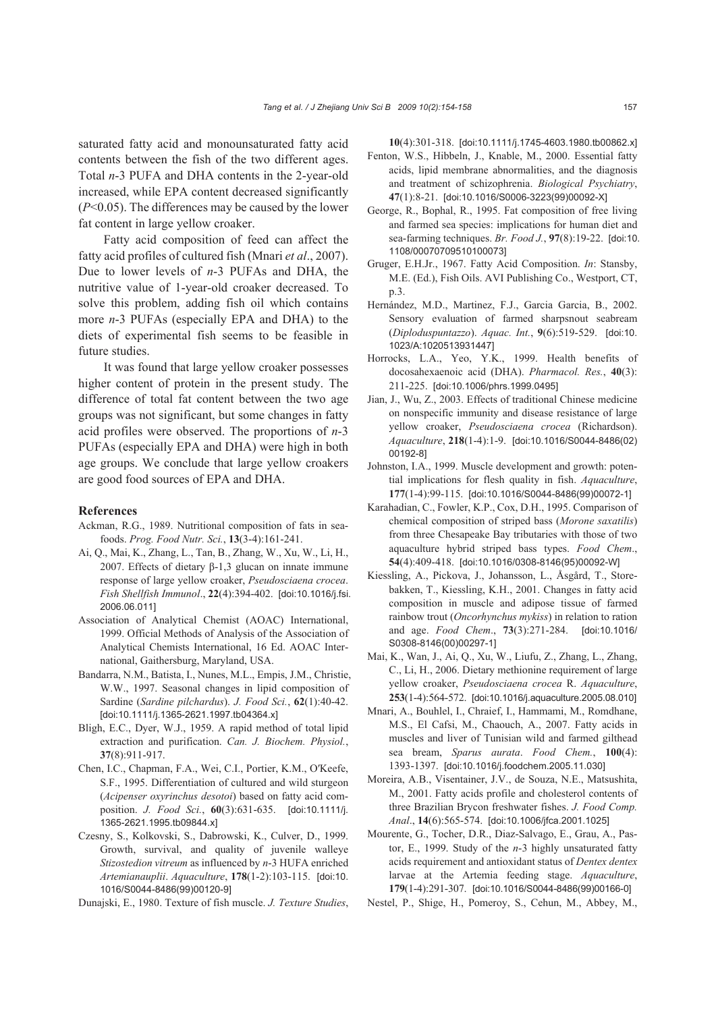saturated fatty acid and monounsaturated fatty acid contents between the fish of the two different ages. Total *n*-3 PUFA and DHA contents in the 2-year-old increased, while EPA content decreased significantly (*P*<0.05). The differences may be caused by the lower fat content in large yellow croaker.

Fatty acid composition of feed can affect the fatty acid profiles of cultured fish (Mnari *et al*., 2007). Due to lower levels of *n*-3 PUFAs and DHA, the nutritive value of 1-year-old croaker decreased. To solve this problem, adding fish oil which contains more *n*-3 PUFAs (especially EPA and DHA) to the diets of experimental fish seems to be feasible in future studies.

It was found that large yellow croaker possesses higher content of protein in the present study. The difference of total fat content between the two age groups was not significant, but some changes in fatty acid profiles were observed. The proportions of *n*-3 PUFAs (especially EPA and DHA) were high in both age groups. We conclude that large yellow croakers are good food sources of EPA and DHA.

#### **References**

- Ackman, R.G., 1989. Nutritional composition of fats in seafoods. *Prog. Food Nutr. Sci.*, **13**(3-4):161-241.
- Ai, Q., Mai, K., Zhang, L., Tan, B., Zhang, W., Xu, W., Li, H., 2007. Effects of dietary β-1,3 glucan on innate immune response of large yellow croaker, *Pseudosciaena crocea*. *Fish Shellfish Immunol*., **22**(4):394-402. [doi:10.1016/j.fsi. 2006.06.011]
- Association of Analytical Chemist (AOAC) International, 1999. Official Methods of Analysis of the Association of Analytical Chemists International, 16 Ed. AOAC International, Gaithersburg, Maryland, USA.
- Bandarra, N.M., Batista, I., Nunes, M.L., Empis, J.M., Christie, W.W., 1997. Seasonal changes in lipid composition of Sardine (*Sardine pilchardus*). *J. Food Sci.*, **62**(1):40-42. [doi:10.1111/j.1365-2621.1997.tb04364.x]
- Bligh, E.C., Dyer, W.J., 1959. A rapid method of total lipid extraction and purification. *Can. J. Biochem. Physiol.*, **37**(8):911-917.
- Chen, I.C., Chapman, F.A., Wei, C.I., Portier, K.M., O′Keefe, S.F., 1995. Differentiation of cultured and wild sturgeon (*Acipenser oxyrinchus desotoi*) based on fatty acid composition. *J. Food Sci.*, **60**(3):631-635. [doi:10.1111/j. 1365-2621.1995.tb09844.x]
- Czesny, S., Kolkovski, S., Dabrowski, K., Culver, D., 1999. Growth, survival, and quality of juvenile walleye *Stizostedion vitreum* as influenced by *n*-3 HUFA enriched *Artemianauplii*. *Aquaculture*, **178**(1-2):103-115. [doi:10. 1016/S0044-8486(99)00120-9]

Dunajski, E., 1980. Texture of fish muscle. *J. Texture Studies*,

**10**(4):301-318. [doi:10.1111/j.1745-4603.1980.tb00862.x] Fenton, W.S., Hibbeln, J., Knable, M., 2000. Essential fatty acids, lipid membrane abnormalities, and the diagnosis and treatment of schizophrenia. *Biological Psychiatry*, **47**(1):8-21. [doi:10.1016/S0006-3223(99)00092-X]

- George, R., Bophal, R., 1995. Fat composition of free living and farmed sea species: implications for human diet and sea-farming techniques. *Br. Food J.*, **97**(8):19-22. [doi:10. 1108/00070709510100073]
- Gruger, E.H.Jr., 1967. Fatty Acid Composition. *In*: Stansby, M.E. (Ed.), Fish Oils. AVI Publishing Co., Westport, CT, p.3.
- Hernández, M.D., Martinez, F.J., Garcia Garcia, B., 2002. Sensory evaluation of farmed sharpsnout seabream (*Diploduspuntazzo*). *Aquac. Int.*, **9**(6):519-529. [doi:10. 1023/A:1020513931447]
- Horrocks, L.A., Yeo, Y.K., 1999. Health benefits of docosahexaenoic acid (DHA). *Pharmacol. Res.*, **40**(3): 211-225. [doi:10.1006/phrs.1999.0495]
- Jian, J., Wu, Z., 2003. Effects of traditional Chinese medicine on nonspecific immunity and disease resistance of large yellow croaker, *Pseudosciaena crocea* (Richardson). *Aquaculture*, **218**(1-4):1-9. [doi:10.1016/S0044-8486(02) 00192-8]
- Johnston, I.A., 1999. Muscle development and growth: potential implications for flesh quality in fish. *Aquaculture*, **177**(1-4):99-115. [doi:10.1016/S0044-8486(99)00072-1]
- Karahadian, C., Fowler, K.P., Cox, D.H., 1995. Comparison of chemical composition of striped bass (*Morone saxatilis*) from three Chesapeake Bay tributaries with those of two aquaculture hybrid striped bass types. *Food Chem*., **54**(4):409-418. [doi:10.1016/0308-8146(95)00092-W]
- Kiessling, A., Pickova, J., Johansson, L., Åsgård, T., Storebakken, T., Kiessling, K.H., 2001. Changes in fatty acid composition in muscle and adipose tissue of farmed rainbow trout (*Oncorhynchus mykiss*) in relation to ration and age. *Food Chem*., **73**(3):271-284. [doi:10.1016/ S0308-8146(00)00297-1]
- Mai, K., Wan, J., Ai, Q., Xu, W., Liufu, Z., Zhang, L., Zhang, C., Li, H., 2006. Dietary methionine requirement of large yellow croaker, *Pseudosciaena crocea* R. *Aquaculture*, **253**(1-4):564-572. [doi:10.1016/j.aquaculture.2005.08.010]
- Mnari, A., Bouhlel, I., Chraief, I., Hammami, M., Romdhane, M.S., El Cafsi, M., Chaouch, A., 2007. Fatty acids in muscles and liver of Tunisian wild and farmed gilthead sea bream, *Sparus aurata*. *Food Chem.*, **100**(4): 1393-1397. [doi:10.1016/j.foodchem.2005.11.030]
- Moreira, A.B., Visentainer, J.V., de Souza, N.E., Matsushita, M., 2001. Fatty acids profile and cholesterol contents of three Brazilian Brycon freshwater fishes. *J. Food Comp. Anal*., **14**(6):565-574. [doi:10.1006/jfca.2001.1025]
- Mourente, G., Tocher, D.R., Diaz-Salvago, E., Grau, A., Pastor, E., 1999. Study of the *n*-3 highly unsaturated fatty acids requirement and antioxidant status of *Dentex dentex* larvae at the Artemia feeding stage. *Aquaculture*, **179**(1-4):291-307. [doi:10.1016/S0044-8486(99)00166-0]
- Nestel, P., Shige, H., Pomeroy, S., Cehun, M., Abbey, M.,